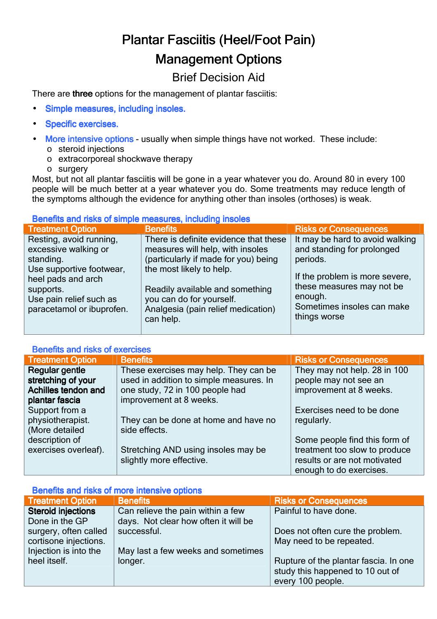# Plantar Fasciitis (Heel/Foot Pain) **Management Options**

# Brief Decision Aid

There are three options for the management of plantar fasciitis:

- Simple measures, including insoles.
- Specific exercises.
- More intensive options usually when simple things have not worked. These include:
	- o steroid injections
	- o extracorporeal shockwave therapy
	- o surgery

Most, but not all plantar fasciitis will be gone in a year whatever you do. Around 80 in every 100 people will be much better at a year whatever you do. Some treatments may reduce length of the symptoms although the evidence for anything other than insoles (orthoses) is weak.

#### Benefits and risks of simple measures, including insoles

| <b>Treatment Option</b>   | <b>Benefits</b>                       | <b>Risks or Consequences</b>    |
|---------------------------|---------------------------------------|---------------------------------|
| Resting, avoid running,   | There is definite evidence that these | It may be hard to avoid walking |
| excessive walking or      | measures will help, with insoles      | and standing for prolonged      |
| standing.                 | (particularly if made for you) being  | periods.                        |
| Use supportive footwear,  | the most likely to help.              | If the problem is more severe,  |
| heel pads and arch        | Readily available and something       | these measures may not be       |
| supports.                 | you can do for yourself.              | enough.                         |
| Use pain relief such as   | Analgesia (pain relief medication)    | Sometimes insoles can make      |
| paracetamol or ibuprofen. | can help.                             | things worse                    |

## Benefits and risks of exercises

| <b>Treatment Option</b> | <b>Benefits</b>                         | <b>Risks or Consequences</b>  |
|-------------------------|-----------------------------------------|-------------------------------|
| Regular gentle          | These exercises may help. They can be   | They may not help. 28 in 100  |
| stretching of your      | used in addition to simple measures. In | people may not see an         |
| Achilles tendon and     | one study, 72 in 100 people had         | improvement at 8 weeks.       |
| plantar fascia          | improvement at 8 weeks.                 |                               |
| Support from a          |                                         | Exercises need to be done     |
| physiotherapist.        | They can be done at home and have no    | regularly.                    |
| (More detailed          | side effects.                           |                               |
| description of          |                                         | Some people find this form of |
| exercises overleaf).    | Stretching AND using insoles may be     | treatment too slow to produce |
|                         | slightly more effective.                | results or are not motivated  |
|                         |                                         | enough to do exercises.       |

## Benefits and risks of more intensive options

| <b>Treatment Option</b>   | <b>Benefits</b>                      | <b>Risks or Consequences</b>          |
|---------------------------|--------------------------------------|---------------------------------------|
| <b>Steroid injections</b> | Can relieve the pain within a few    | Painful to have done.                 |
| Done in the GP            | days. Not clear how often it will be |                                       |
| surgery, often called     | successful.                          | Does not often cure the problem.      |
| cortisone injections.     |                                      | May need to be repeated.              |
| Injection is into the     | May last a few weeks and sometimes   |                                       |
| heel itself.              | longer.                              | Rupture of the plantar fascia. In one |
|                           |                                      | study this happened to 10 out of      |
|                           |                                      | every 100 people.                     |